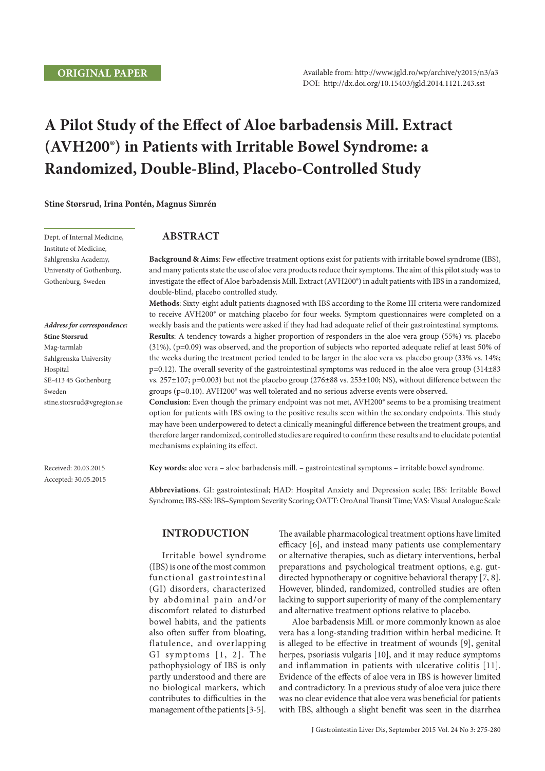# **A Pilot Study of the Effect of Aloe barbadensis Mill. Extract (AVH200®) in Patients with Irritable Bowel Syndrome: a Randomized, Double-Blind, Placebo-Controlled Study**

**Stine Størsrud, Irina Pontén, Magnus Simrén**

Dept. of Internal Medicine, Institute of Medicine, Sahlgrenska Academy, University of Gothenburg, Gothenburg, Sweden

*Address for correspondence:*  **Stine Størsrud** Mag-tarmlab Sahlgrenska University Hospital SE-413 45 Gothenburg Sweden stine.storsrud@vgregion.se

Received: 20.03.2015 Accepted: 30.05.2015

# **Abstract**

**Background & Aims**: Few effective treatment options exist for patients with irritable bowel syndrome (IBS), and many patients state the use of aloe vera products reduce their symptoms. The aim of this pilot study was to investigate the effect of Aloe barbadensis Mill. Extract (AVH200®) in adult patients with IBS in a randomized, double-blind, placebo controlled study.

**Methods**: Sixty-eight adult patients diagnosed with IBS according to the Rome III criteria were randomized to receive AVH200® or matching placebo for four weeks. Symptom questionnaires were completed on a weekly basis and the patients were asked if they had had adequate relief of their gastrointestinal symptoms. **Results**: A tendency towards a higher proportion of responders in the aloe vera group (55%) vs. placebo (31%), (p=0.09) was observed, and the proportion of subjects who reported adequate relief at least 50% of the weeks during the treatment period tended to be larger in the aloe vera vs. placebo group (33% vs. 14%; p=0.12). The overall severity of the gastrointestinal symptoms was reduced in the aloe vera group (314±83 vs. 257±107; p=0.003) but not the placebo group (276±88 vs. 253±100; NS), without difference between the groups (p=0.10). AVH200® was well tolerated and no serious adverse events were observed.

**Conclusion**: Even though the primary endpoint was not met, AVH200® seems to be a promising treatment option for patients with IBS owing to the positive results seen within the secondary endpoints. This study may have been underpowered to detect a clinically meaningful difference between the treatment groups, and therefore larger randomized, controlled studies are required to confirm these results and to elucidate potential mechanisms explaining its effect.

**Key words:** aloe vera – aloe barbadensis mill. – gastrointestinal symptoms – irritable bowel syndrome.

**Abbreviations**. GI: gastrointestinal; HAD: Hospital Anxiety and Depression scale; IBS: Irritable Bowel Syndrome; IBS-SSS: IBS–Symptom Severity Scoring; OATT: OroAnal Transit Time; VAS: Visual Analogue Scale

## **INTRODUCTION**

Irritable bowel syndrome (IBS) is one of the most common functional gastrointestinal (GI) disorders, characterized by abdominal pain and/or discomfort related to disturbed bowel habits, and the patients also often suffer from bloating, flatulence, and overlapping GI symptoms [1, 2]. The pathophysiology of IBS is only partly understood and there are no biological markers, which contributes to difficulties in the management of the patients [3-5]. The available pharmacological treatment options have limited efficacy [6], and instead many patients use complementary or alternative therapies, such as dietary interventions, herbal preparations and psychological treatment options, e.g. gutdirected hypnotherapy or cognitive behavioral therapy [7, 8]. However, blinded, randomized, controlled studies are often lacking to support superiority of many of the complementary and alternative treatment options relative to placebo.

Aloe barbadensis Mill. or more commonly known as aloe vera has a long-standing tradition within herbal medicine. It is alleged to be effective in treatment of wounds [9], genital herpes, psoriasis vulgaris [10], and it may reduce symptoms and inflammation in patients with ulcerative colitis [11]. Evidence of the effects of aloe vera in IBS is however limited and contradictory. In a previous study of aloe vera juice there was no clear evidence that aloe vera was beneficial for patients with IBS, although a slight benefit was seen in the diarrhea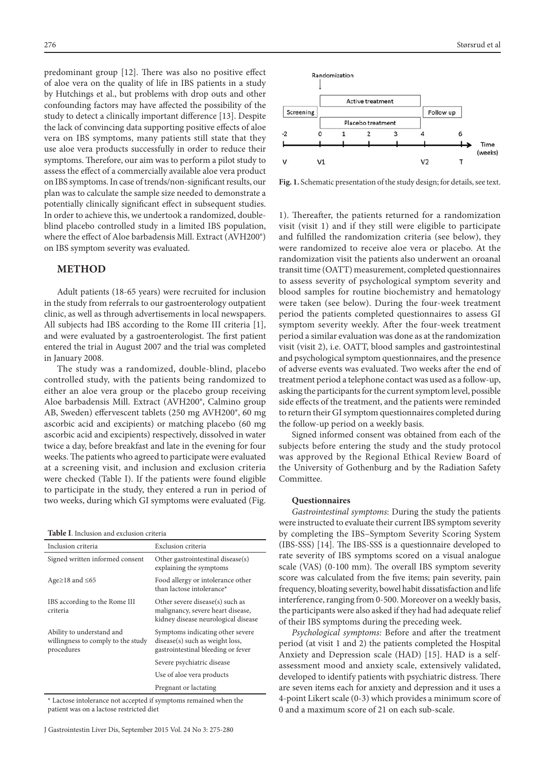predominant group [12]. There was also no positive effect of aloe vera on the quality of life in IBS patients in a study by Hutchings et al., but problems with drop outs and other confounding factors may have affected the possibility of the study to detect a clinically important difference [13]. Despite the lack of convincing data supporting positive effects of aloe vera on IBS symptoms, many patients still state that they use aloe vera products successfully in order to reduce their symptoms. Therefore, our aim was to perform a pilot study to assess the effect of a commercially available aloe vera product on IBS symptoms. In case of trends/non-significant results, our plan was to calculate the sample size needed to demonstrate a potentially clinically significant effect in subsequent studies. In order to achieve this, we undertook a randomized, doubleblind placebo controlled study in a limited IBS population, where the effect of Aloe barbadensis Mill. Extract (AVH200®) on IBS symptom severity was evaluated.

## **METHOD**

Adult patients (18-65 years) were recruited for inclusion in the study from referrals to our gastroenterology outpatient clinic, as well as through advertisements in local newspapers. All subjects had IBS according to the Rome III criteria [1], and were evaluated by a gastroenterologist. The first patient entered the trial in August 2007 and the trial was completed in January 2008.

The study was a randomized, double-blind, placebo controlled study, with the patients being randomized to either an aloe vera group or the placebo group receiving Aloe barbadensis Mill. Extract (AVH200®, Calmino group AB, Sweden) effervescent tablets (250 mg AVH200®, 60 mg ascorbic acid and excipients) or matching placebo (60 mg ascorbic acid and excipients) respectively, dissolved in water twice a day, before breakfast and late in the evening for four weeks. The patients who agreed to participate were evaluated at a screening visit, and inclusion and exclusion criteria were checked (Table I). If the patients were found eligible to participate in the study, they entered a run in period of two weeks, during which GI symptoms were evaluated (Fig.

#### **Table I**. Inclusion and exclusion criteria

| Inclusion criteria                                                            | Exclusion criteria                                                                                          |
|-------------------------------------------------------------------------------|-------------------------------------------------------------------------------------------------------------|
| Signed written informed consent                                               | Other gastrointestinal disease(s)<br>explaining the symptoms                                                |
| Age $\geq$ 18 and $\leq$ 65                                                   | Food allergy or intolerance other<br>than lactose intolerance*                                              |
| IBS according to the Rome III<br>criteria                                     | Other severe disease(s) such as<br>malignancy, severe heart disease,<br>kidney disease neurological disease |
| Ability to understand and<br>willingness to comply to the study<br>procedures | Symptoms indicating other severe<br>disease(s) such as weight loss,<br>gastrointestinal bleeding or fever   |
|                                                                               | Severe psychiatric disease                                                                                  |
|                                                                               | Use of aloe vera products                                                                                   |
|                                                                               | Pregnant or lactating                                                                                       |

\* Lactose intolerance not accepted if symptoms remained when the patient was on a lactose restricted diet



**Fig. 1.** Schematic presentation of the study design; for details, see text.

1). Thereafter, the patients returned for a randomization visit (visit 1) and if they still were eligible to participate and fulfilled the randomization criteria (see below), they were randomized to receive aloe vera or placebo. At the randomization visit the patients also underwent an oroanal transit time (OATT) measurement, completed questionnaires to assess severity of psychological symptom severity and blood samples for routine biochemistry and hematology were taken (see below). During the four-week treatment period the patients completed questionnaires to assess GI symptom severity weekly. After the four-week treatment period a similar evaluation was done as at the randomization visit (visit 2), i.e. OATT, blood samples and gastrointestinal and psychological symptom questionnaires, and the presence of adverse events was evaluated. Two weeks after the end of treatment period a telephone contact was used as a follow-up, asking the participants for the current symptom level, possible side effects of the treatment, and the patients were reminded to return their GI symptom questionnaires completed during the follow-up period on a weekly basis.

Signed informed consent was obtained from each of the subjects before entering the study and the study protocol was approved by the Regional Ethical Review Board of the University of Gothenburg and by the Radiation Safety Committee.

## **Questionnaires**

*Gastrointestinal symptoms*: During the study the patients were instructed to evaluate their current IBS symptom severity by completing the IBS–Symptom Severity Scoring System (IBS-SSS) [14]. The IBS-SSS is a questionnaire developed to rate severity of IBS symptoms scored on a visual analogue scale (VAS) (0-100 mm). The overall IBS symptom severity score was calculated from the five items; pain severity, pain frequency, bloating severity, bowel habit dissatisfaction and life interference, ranging from 0-500. Moreover on a weekly basis, the participants were also asked if they had had adequate relief of their IBS symptoms during the preceding week.

*Psychological symptoms:* Before and after the treatment period (at visit 1 and 2) the patients completed the Hospital Anxiety and Depression scale (HAD) [15]. HAD is a selfassessment mood and anxiety scale, extensively validated, developed to identify patients with psychiatric distress. There are seven items each for anxiety and depression and it uses a 4-point Likert scale (0-3) which provides a minimum score of 0 and a maximum score of 21 on each sub-scale.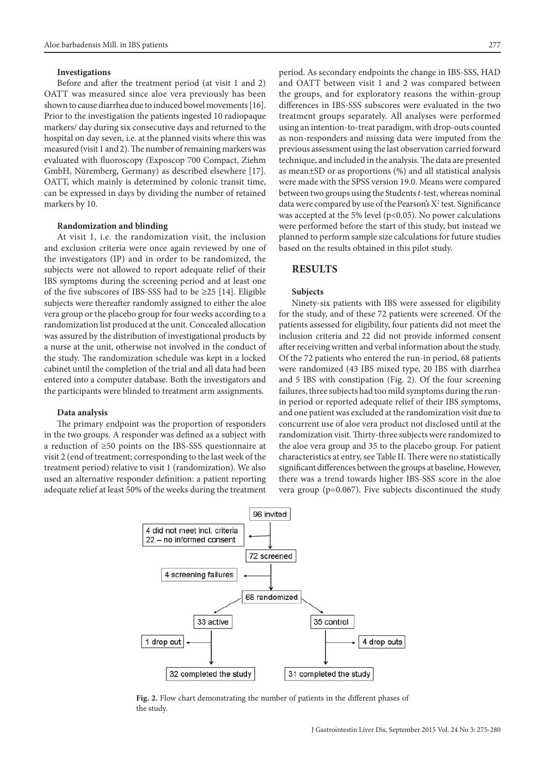#### **Investigations**

Before and after the treatment period (at visit 1 and 2) OATT was measured since aloe vera previously has been shown to cause diarrhea due to induced bowel movements [16]. Prior to the investigation the patients ingested 10 radiopaque markers/ day during six consecutive days and returned to the hospital on day seven, i.e. at the planned visits where this was measured (visit 1 and 2). The number of remaining markers was evaluated with fluoroscopy (Exposcop 700 Compact, Ziehm GmbH, Nüremberg, Germany) as described elsewhere [17]. OATT, which mainly is determined by colonic transit time, can be expressed in days by dividing the number of retained markers by 10.

## **Randomization and blinding**

At visit 1, i.e. the randomization visit, the inclusion and exclusion criteria were once again reviewed by one of the investigators (IP) and in order to be randomized, the subjects were not allowed to report adequate relief of their IBS symptoms during the screening period and at least one of the five subscores of IBS-SSS had to be  $\geq$ 25 [14]. Eligible subjects were thereafter randomly assigned to either the aloe vera group or the placebo group for four weeks according to a randomization list produced at the unit. Concealed allocation was assured by the distribution of investigational products by a nurse at the unit, otherwise not involved in the conduct of the study. The randomization schedule was kept in a locked cabinet until the completion of the trial and all data had been entered into a computer database. Both the investigators and the participants were blinded to treatment arm assignments.

#### **Data analysis**

The primary endpoint was the proportion of responders in the two groups. A responder was defined as a subject with a reduction of ≥50 points on the IBS-SSS questionnaire at visit 2 (end of treatment; corresponding to the last week of the treatment period) relative to visit 1 (randomization). We also used an alternative responder definition: a patient reporting adequate relief at least 50% of the weeks during the treatment period. As secondary endpoints the change in IBS-SSS, HAD and OATT between visit 1 and 2 was compared between the groups, and for exploratory reasons the within-group differences in IBS-SSS subscores were evaluated in the two treatment groups separately. All analyses were performed using an intention-to-treat paradigm, with drop-outs counted as non-responders and missing data were imputed from the previous assessment using the last observation carried forward technique, and included in the analysis. The data are presented as mean±SD or as proportions (%) and all statistical analysis were made with the SPSS version 19.0. Means were compared between two groups using the Students *t*-test, whereas nominal data were compared by use of the Pearson's  $X^2$  test. Significance was accepted at the 5% level ( $p$ <0.05). No power calculations were performed before the start of this study, but instead we planned to perform sample size calculations for future studies based on the results obtained in this pilot study.

## **RESULTS**

#### **Subjects**

Ninety-six patients with IBS were assessed for eligibility for the study, and of these 72 patients were screened. Of the patients assessed for eligibility, four patients did not meet the inclusion criteria and 22 did not provide informed consent after receiving written and verbal information about the study. Of the 72 patients who entered the run-in period, 68 patients were randomized (43 IBS mixed type, 20 IBS with diarrhea and 5 IBS with constipation (Fig. 2). Of the four screening failures, three subjects had too mild symptoms during the runin period or reported adequate relief of their IBS symptoms, and one patient was excluded at the randomization visit due to concurrent use of aloe vera product not disclosed until at the randomization visit. Thirty-three subjects were randomized to the aloe vera group and 35 to the placebo group. For patient characteristics at entry, see Table II. There were no statistically significant differences between the groups at baseline, However, there was a trend towards higher IBS-SSS score in the aloe vera group (p=0.067). Five subjects discontinued the study



**Fig. 2.** Flow chart demonstrating the number of patients in the different phases of the study.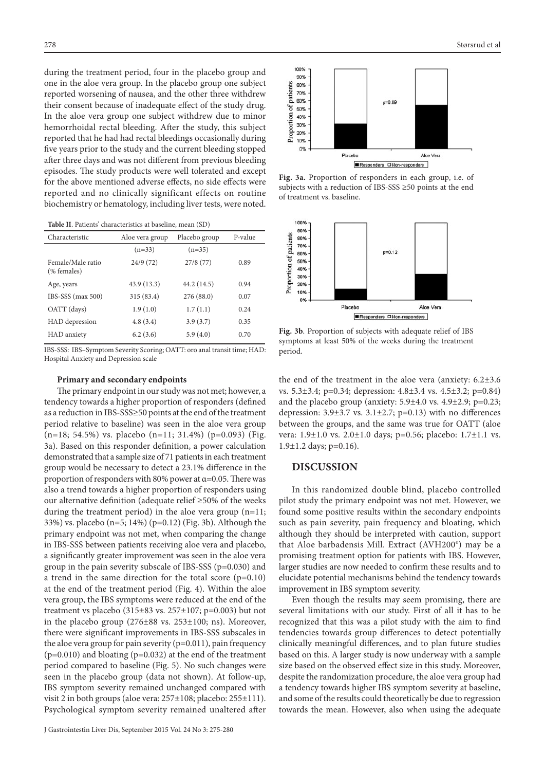during the treatment period, four in the placebo group and one in the aloe vera group. In the placebo group one subject reported worsening of nausea, and the other three withdrew their consent because of inadequate effect of the study drug. In the aloe vera group one subject withdrew due to minor hemorrhoidal rectal bleeding. After the study, this subject reported that he had had rectal bleedings occasionally during five years prior to the study and the current bleeding stopped after three days and was not different from previous bleeding episodes. The study products were well tolerated and except for the above mentioned adverse effects, no side effects were reported and no clinically significant effects on routine biochemistry or hematology, including liver tests, were noted.

|  |  | Table II. Patients' characteristics at baseline, mean (SD) |
|--|--|------------------------------------------------------------|
|--|--|------------------------------------------------------------|

| Characteristic                   | Aloe vera group | Placebo group | P-value |
|----------------------------------|-----------------|---------------|---------|
|                                  | $(n=33)$        | $(n=35)$      |         |
| Female/Male ratio<br>(% females) | 24/9(72)        | 27/8(77)      | 0.89    |
| Age, years                       | 43.9 (13.3)     | 44.2 (14.5)   | 0.94    |
| IBS-SSS (max 500)                | 315 (83.4)      | 276 (88.0)    | 0.07    |
| OATT (days)                      | 1.9(1.0)        | 1.7(1.1)      | 0.24    |
| HAD depression                   | 4.8(3.4)        | 3.9(3.7)      | 0.35    |
| HAD anxiety                      | 6.2(3.6)        | 5.9(4.0)      | 0.70    |

IBS-SSS: IBS–Symptom Severity Scoring; OATT: oro anal transit time; HAD: Hospital Anxiety and Depression scale

#### **Primary and secondary endpoints**

The primary endpoint in our study was not met; however, a tendency towards a higher proportion of responders (defined as a reduction in IBS-SSS≥50 points at the end of the treatment period relative to baseline) was seen in the aloe vera group (n=18; 54.5%) vs. placebo (n=11; 31.4%) (p=0.093) (Fig. 3a). Based on this responder definition, a power calculation demonstrated that a sample size of 71 patients in each treatment group would be necessary to detect a 23.1% difference in the proportion of responders with 80% power at  $\alpha$ =0.05. There was also a trend towards a higher proportion of responders using our alternative definition (adequate relief ≥50% of the weeks during the treatment period) in the aloe vera group (n=11; 33%) vs. placebo (n=5; 14%) (p=0.12) (Fig. 3b). Although the primary endpoint was not met, when comparing the change in IBS-SSS between patients receiving aloe vera and placebo, a significantly greater improvement was seen in the aloe vera group in the pain severity subscale of IBS-SSS (p=0.030) and a trend in the same direction for the total score  $(p=0.10)$ at the end of the treatment period (Fig. 4). Within the aloe vera group, the IBS symptoms were reduced at the end of the treatment vs placebo  $(315\pm83 \text{ vs. } 257\pm107; \text{ p=0.003})$  but not in the placebo group  $(276\pm88 \text{ vs. } 253\pm100; \text{ ns})$ . Moreover, there were significant improvements in IBS-SSS subscales in the aloe vera group for pain severity (p=0.011), pain frequency  $(p=0.010)$  and bloating  $(p=0.032)$  at the end of the treatment period compared to baseline (Fig. 5). No such changes were seen in the placebo group (data not shown). At follow-up, IBS symptom severity remained unchanged compared with visit 2 in both groups (aloe vera: 257±108; placebo: 255±111). Psychological symptom severity remained unaltered after



**Fig. 3a.** Proportion of responders in each group, i.e. of subjects with a reduction of IBS-SSS ≥50 points at the end of treatment vs. baseline.



**Fig. 3b**. Proportion of subjects with adequate relief of IBS symptoms at least 50% of the weeks during the treatment period.

the end of the treatment in the aloe vera (anxiety: 6.2±3.6 vs. 5.3±3.4; p=0.34; depression: 4.8±3.4 vs. 4.5±3.2; p=0.84) and the placebo group (anxiety:  $5.9\pm4.0$  vs.  $4.9\pm2.9$ ; p=0.23; depression:  $3.9\pm3.7$  vs.  $3.1\pm2.7$ ; p=0.13) with no differences between the groups, and the same was true for OATT (aloe vera: 1.9±1.0 vs. 2.0±1.0 days; p=0.56; placebo: 1.7±1.1 vs. 1.9 $\pm$ 1.2 days; p=0.16).

## **DISCUSSION**

In this randomized double blind, placebo controlled pilot study the primary endpoint was not met. However, we found some positive results within the secondary endpoints such as pain severity, pain frequency and bloating, which although they should be interpreted with caution, support that Aloe barbadensis Mill. Extract (AVH200®) may be a promising treatment option for patients with IBS. However, larger studies are now needed to confirm these results and to elucidate potential mechanisms behind the tendency towards improvement in IBS symptom severity.

Even though the results may seem promising, there are several limitations with our study. First of all it has to be recognized that this was a pilot study with the aim to find tendencies towards group differences to detect potentially clinically meaningful differences, and to plan future studies based on this. A larger study is now underway with a sample size based on the observed effect size in this study. Moreover, despite the randomization procedure, the aloe vera group had a tendency towards higher IBS symptom severity at baseline, and some of the results could theoretically be due to regression towards the mean. However, also when using the adequate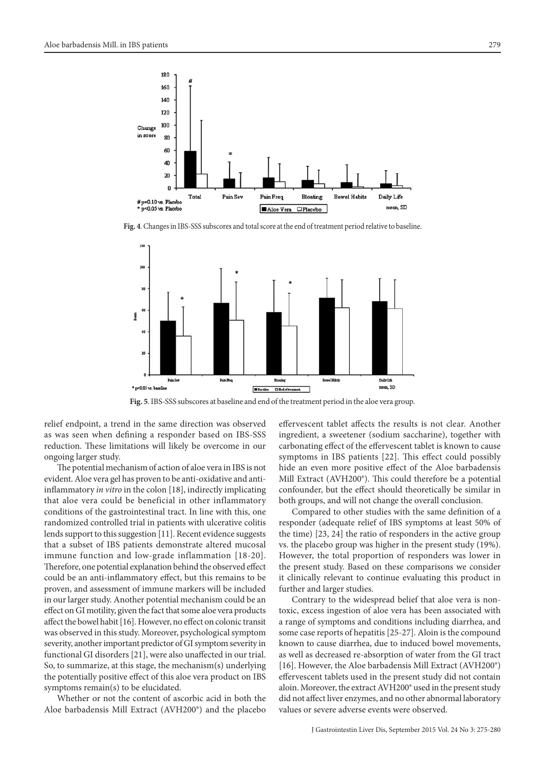

**Fig. 4**. Changes in IBS-SSS subscores and total score at the end of treatment period relative to baseline.



**Fig. 5**. IBS-SSS subscores at baseline and end of the treatment period in the aloe vera group.

relief endpoint, a trend in the same direction was observed as was seen when defining a responder based on IBS-SSS reduction. These limitations will likely be overcome in our ongoing larger study.

The potential mechanism of action of aloe vera in IBS is not evident. Aloe vera gel has proven to be anti-oxidative and antiinflammatory *in vitro* in the colon [18], indirectly implicating that aloe vera could be beneficial in other inflammatory conditions of the gastrointestinal tract. In line with this, one randomized controlled trial in patients with ulcerative colitis lends support to this suggestion [11]. Recent evidence suggests that a subset of IBS patients demonstrate altered mucosal immune function and low-grade inflammation [18-20]. Therefore, one potential explanation behind the observed effect could be an anti-inflammatory effect, but this remains to be proven, and assessment of immune markers will be included in our larger study. Another potential mechanism could be an effect on GI motility, given the fact that some aloe vera products affect the bowel habit [16]. However, no effect on colonic transit was observed in this study. Moreover, psychological symptom severity, another important predictor of GI symptom severity in functional GI disorders [21], were also unaffected in our trial. So, to summarize, at this stage, the mechanism(s) underlying the potentially positive effect of this aloe vera product on IBS symptoms remain(s) to be elucidated.

Whether or not the content of ascorbic acid in both the Aloe barbadensis Mill Extract (AVH200®) and the placebo

effervescent tablet affects the results is not clear. Another ingredient, a sweetener (sodium saccharine), together with carbonating effect of the effervescent tablet is known to cause symptoms in IBS patients [22]. This effect could possibly hide an even more positive effect of the Aloe barbadensis Mill Extract (AVH200®). This could therefore be a potential confounder, but the effect should theoretically be similar in both groups, and will not change the overall conclusion.

Compared to other studies with the same definition of a responder (adequate relief of IBS symptoms at least 50% of the time) [23, 24] the ratio of responders in the active group vs. the placebo group was higher in the present study (19%). However, the total proportion of responders was lower in the present study. Based on these comparisons we consider it clinically relevant to continue evaluating this product in further and larger studies.

Contrary to the widespread belief that aloe vera is nontoxic, excess ingestion of aloe vera has been associated with a range of symptoms and conditions including diarrhea, and some case reports of hepatitis [25-27]. Aloin is the compound known to cause diarrhea, due to induced bowel movements, as well as decreased re-absorption of water from the GI tract [16]. However, the Aloe barbadensis Mill Extract (AVH200®) effervescent tablets used in the present study did not contain aloin. Moreover, the extract AVH200® used in the present study did not affect liver enzymes, and no other abnormal laboratory values or severe adverse events were observed.